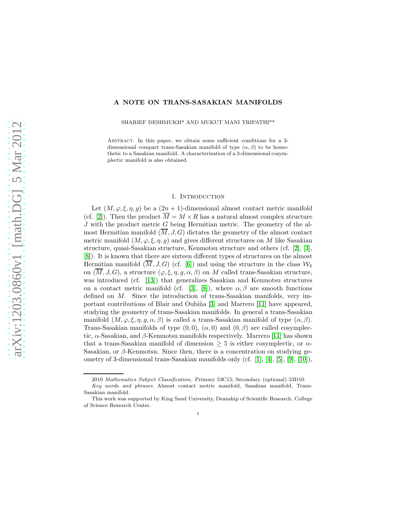# A NOTE ON TRANS-SASAKIAN MANIFOLDS

SHARIEF DESHMUKH\* AND MUKUT MANI TRIPATHI\*\*

Abstract. In this paper, we obtain some sufficient conditions for a 3 dimensional compact trans-Sasakian manifold of type  $(\alpha, \beta)$  to be homothetic to a Sasakian manifold. A characterization of a 3-dimensional cosymplectic manifold is also obtained.

## 1. INTRODUCTION

Let  $(M, \varphi, \xi, \eta, g)$  be a  $(2n + 1)$ -dimensional almost contact metric manifold (cf. [\[2\]](#page-7-0)). Then the product  $\overline{M} = M \times R$  has a natural almost complex structure  $J$  with the product metric  $G$  being Hermitian metric. The geometry of the almost Hermitian manifold  $(\overline{M}, J, G)$  dictates the geometry of the almost contact metric manifold  $(M, \varphi, \xi, \eta, g)$  and gives different structures on M like Sasakian structure, quasi-Sasakian structure, Kenmotsu structure and others (cf. [\[2\]](#page-7-0), [\[3\]](#page-7-1), [\[8\]](#page-7-2)). It is known that there are sixteen different types of structures on the almost Hermitian manifold  $(\overline{M}, J, G)$  (cf. [\[6\]](#page-7-3)) and using the structure in the class  $W_4$ on  $(\overline{M}, J, G)$ , a structure  $(\varphi, \xi, \eta, g, \alpha, \beta)$  on M called trans-Sasakian structure, was introduced (cf. [\[13\]](#page-8-0)) that generalizes Sasakian and Kenmotsu structures on a contact metric manifold (cf. [\[3\]](#page-7-1), [\[8\]](#page-7-2)), where  $\alpha, \beta$  are smooth functions defined on M. Since the introduction of trans-Sasakian manifolds, very im-portant contributions of Blair and Oubiña [\[3\]](#page-7-1) and Marrero [\[11\]](#page-8-1) have appeared, studying the geometry of trans-Sasakian manifolds. In general a trans-Sasakian manifold  $(M, \varphi, \xi, \eta, g, \alpha, \beta)$  is called a trans-Sasakian manifold of type  $(\alpha, \beta)$ . Trans-Sasakian manifolds of type  $(0,0)$ ,  $(\alpha,0)$  and  $(0,\beta)$  are called cosymplectic,  $\alpha$ -Sasakian, and  $\beta$ -Kenmotsu manifolds respectively. Marrero [\[11\]](#page-8-1) has shown that a trans-Sasakian manifold of dimension  $\geq 5$  is either cosymplectic, or  $\alpha$ -Sasakian, or  $\beta$ -Kenmotsu. Since then, there is a concentration on studying geometry of 3-dimensional trans-Sasakian manifolds only (cf. [\[1\]](#page-7-4), [\[4\]](#page-7-5), [\[5\]](#page-7-6), [\[9\]](#page-7-7), [\[10\]](#page-7-8)),

1

<sup>2010</sup> Mathematics Subject Classification. Primary 53C15; Secondary (optional) 53D10.

Key words and phrases. Almost contact metric manifold, Sasakian manifold, Trans-Sasakian manifold.

This work was supported by King Saud University, Deanship of Scientific Research, College of Science Research Center.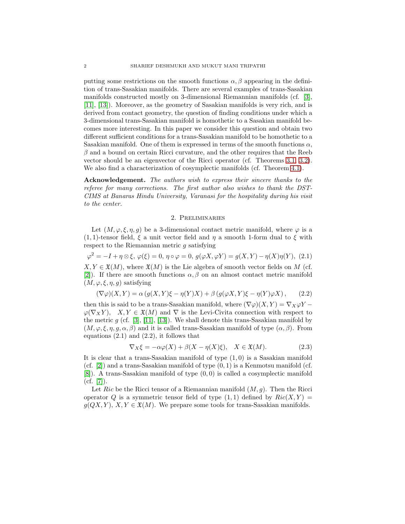putting some restrictions on the smooth functions  $\alpha$ ,  $\beta$  appearing in the definition of trans-Sasakian manifolds. There are several examples of trans-Sasakian manifolds constructed mostly on 3-dimensional Riemannian manifolds (cf. [\[3\]](#page-7-1), [\[11\]](#page-8-1), [\[13\]](#page-8-0)). Moreover, as the geometry of Sasakian manifolds is very rich, and is derived from contact geometry, the question of finding conditions under which a 3-dimensional trans-Sasakian manifold is homothetic to a Sasakian manifold becomes more interesting. In this paper we consider this question and obtain two different sufficient conditions for a trans-Sasakian manifold to be homothetic to a Sasakian manifold. One of them is expressed in terms of the smooth functions  $\alpha$ ,  $\beta$  and a bound on certain Ricci curvature, and the other requires that the Reeb vector should be an eigenvector of the Ricci operator (cf. Theorems [3.1,](#page-3-0) [3.2\)](#page-4-0). We also find a characterization of cosymplectic manifolds (cf. Theorem [4.1\)](#page-7-9).

Acknowledgement. The authors wish to express their sincere thanks to the referee for many corrections. The first author also wishes to thank the DST-CIMS at Banaras Hindu University, Varanasi for the hospitality during his visit to the center.

## 2. Preliminaries

Let  $(M, \varphi, \xi, \eta, g)$  be a 3-dimensional contact metric manifold, where  $\varphi$  is a (1, 1)-tensor field,  $\xi$  a unit vector field and  $\eta$  a smooth 1-form dual to  $\xi$  with respect to the Riemannian metric g satisfying

$$
\varphi^2 = -I + \eta \otimes \xi, \, \varphi(\xi) = 0, \, \eta \circ \varphi = 0, \, g(\varphi X, \varphi Y) = g(X, Y) - \eta(X)\eta(Y), \, (2.1)
$$

 $X, Y \in \mathfrak{X}(M)$ , where  $\mathfrak{X}(M)$  is the Lie algebra of smooth vector fields on M (cf. [\[2\]](#page-7-0)). If there are smooth functions  $\alpha, \beta$  on an almost contact metric manifold  $(M, \varphi, \xi, \eta, g)$  satisfying

$$
(\nabla \varphi)(X, Y) = \alpha (g(X, Y)\xi - \eta(Y)X) + \beta (g(\varphi X, Y)\xi - \eta(Y)\varphi X), \quad (2.2)
$$

then this is said to be a trans-Sasakian manifold, where  $(\nabla \varphi)(X, Y) = \nabla_X \varphi Y$  $\varphi(\nabla_X Y)$ ,  $X, Y \in \mathfrak{X}(M)$  and  $\nabla$  is the Levi-Civita connection with respect to the metric  $g$  (cf. [\[3\]](#page-7-1), [\[11\]](#page-8-1), [\[13\]](#page-8-0)). We shall denote this trans-Sasakian manifold by  $(M, \varphi, \xi, \eta, g, \alpha, \beta)$  and it is called trans-Sasakian manifold of type  $(\alpha, \beta)$ . From equations  $(2.1)$  and  $(2.2)$ , it follows that

$$
\nabla_X \xi = -\alpha \varphi(X) + \beta(X - \eta(X)\xi), \quad X \in \mathfrak{X}(M). \tag{2.3}
$$

It is clear that a trans-Sasakian manifold of type  $(1,0)$  is a Sasakian manifold (cf.  $[2]$ ) and a trans-Sasakian manifold of type  $(0, 1)$  is a Kenmotsu manifold (cf. [\[8\]](#page-7-2)). A trans-Sasakian manifold of type (0, 0) is called a cosymplectic manifold  $(cf. [7]).$  $(cf. [7]).$  $(cf. [7]).$ 

Let Ric be the Ricci tensor of a Riemannian manifold  $(M, g)$ . Then the Ricci operator Q is a symmetric tensor field of type  $(1,1)$  defined by  $Ric(X, Y) =$  $g(QX, Y), X, Y \in \mathfrak{X}(M)$ . We prepare some tools for trans-Sasakian manifolds.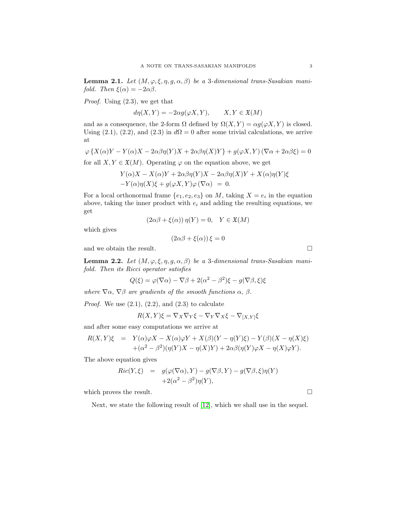<span id="page-2-1"></span>**Lemma 2.1.** Let  $(M, \varphi, \xi, \eta, g, \alpha, \beta)$  be a 3-dimensional trans-Sasakian manifold. Then  $\xi(\alpha) = -2\alpha\beta$ .

Proof. Using (2.3), we get that

 $d\eta(X,Y) = -2\alpha g(\varphi X,Y), \qquad X,Y \in \mathfrak{X}(M)$ 

and as a consequence, the 2-form  $\Omega$  defined by  $\Omega(X, Y) = \alpha g(\varphi X, Y)$  is closed. Using (2.1), (2.2), and (2.3) in  $d\Omega = 0$  after some trivial calculations, we arrive at

$$
\varphi\left\{X(\alpha)Y - Y(\alpha)X - 2\alpha\beta\eta(Y)X + 2\alpha\beta\eta(X)Y\right\} + g(\varphi X, Y)\left(\nabla\alpha + 2\alpha\beta\xi\right) = 0
$$

for all  $X, Y \in \mathfrak{X}(M)$ . Operating  $\varphi$  on the equation above, we get

$$
Y(\alpha)X - X(\alpha)Y + 2\alpha\beta\eta(Y)X - 2\alpha\beta\eta(X)Y + X(\alpha)\eta(Y)\xi
$$
  
-
$$
Y(\alpha)\eta(X)\xi + g(\varphi X, Y)\varphi(\nabla\alpha) = 0.
$$

For a local orthonormal frame  $\{e_1, e_2, e_3\}$  on M, taking  $X = e_i$  in the equation above, taking the inner product with  $e_i$  and adding the resulting equations, we get

$$
(2\alpha\beta + \xi(\alpha))\eta(Y) = 0, \quad Y \in \mathfrak{X}(M)
$$

which gives

$$
(2\alpha\beta + \xi(\alpha))\,\xi = 0
$$

and we obtain the result.  $\Box$ 

<span id="page-2-0"></span>**Lemma 2.2.** Let  $(M, \varphi, \xi, \eta, g, \alpha, \beta)$  be a 3-dimensional trans-Sasakian manifold. Then its Ricci operator satisfies

$$
Q(\xi) = \varphi(\nabla \alpha) - \nabla \beta + 2(\alpha^2 - \beta^2)\xi - g(\nabla \beta, \xi)\xi
$$

where  $\nabla \alpha$ ,  $\nabla \beta$  are gradients of the smooth functions  $\alpha$ ,  $\beta$ .

*Proof.* We use  $(2.1)$ ,  $(2.2)$ , and  $(2.3)$  to calculate

$$
R(X,Y)\xi = \nabla_X \nabla_Y \xi - \nabla_Y \nabla_X \xi - \nabla_{[X,Y]}\xi
$$

and after some easy computations we arrive at

$$
R(X,Y)\xi = Y(\alpha)\varphi X - X(\alpha)\varphi Y + X(\beta)(Y - \eta(Y)\xi) - Y(\beta)(X - \eta(X)\xi)
$$
  
 
$$
+ (\alpha^2 - \beta^2)(\eta(Y)X - \eta(X)Y) + 2\alpha\beta(\eta(Y)\varphi X - \eta(X)\varphi Y).
$$

The above equation gives

$$
Ric(Y,\xi) = g(\varphi(\nabla \alpha), Y) - g(\nabla \beta, Y) - g(\nabla \beta, \xi)\eta(Y) + 2(\alpha^2 - \beta^2)\eta(Y),
$$

which proves the result.  $\hfill \Box$ 

Next, we state the following result of [\[12\]](#page-8-2), which we shall use in the sequel.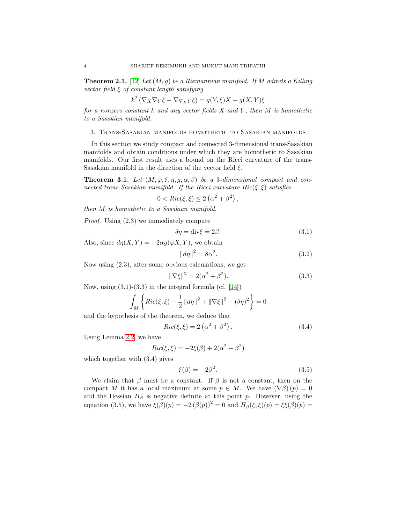<span id="page-3-1"></span>**Theorem 2.1.** [\[12\]](#page-8-2) Let  $(M, g)$  be a Riemannian manifold. If M admits a Killing vector field  $\xi$  of constant length satisfying

$$
k^2 \left( \nabla_X \nabla_Y \xi - \nabla_{\nabla_X Y} \xi \right) = g(Y, \xi) X - g(X, Y) \xi
$$

for a nonzero constant  $k$  and any vector fields  $X$  and  $Y$ , then  $M$  is homothetic to a Sasakian manifold.

#### 3. Trans-Sasakian manifolds homothetic to Sasakian manifolds

In this section we study compact and connected 3-dimensional trans-Sasakian manifolds and obtain conditions under which they are homothetic to Sasakian manifolds. Our first result uses a bound on the Ricci curvature of the trans-Sasakian manifold in the direction of the vector field  $\xi$ .

<span id="page-3-0"></span>**Theorem 3.1.** Let  $(M, \varphi, \xi, \eta, g, \alpha, \beta)$  be a 3-dimensional compact and connected trans-Sasakian manifold. If the Ricci curvature  $Ric(\xi, \xi)$  satisfies

$$
0 < Ric(\xi, \xi) \le 2\left(\alpha^2 + \beta^2\right),
$$

then M is homothetic to a Sasakian manifold.

Proof. Using (2.3) we immediately compute

$$
\delta \eta = \text{div}\xi = 2\beta. \tag{3.1}
$$

Also, since  $d\eta(X, Y) = -2\alpha g(\varphi X, Y)$ , we obtain

$$
||d\eta||^2 = 8\alpha^2. \tag{3.2}
$$

Now using (2.3), after some obvious calculations, we get

$$
\|\nabla \xi\|^2 = 2(\alpha^2 + \beta^2). \tag{3.3}
$$

Now, using  $(3.1)-(3.3)$  in the integral formula  $(cf. [14])$  $(cf. [14])$  $(cf. [14])$ 

$$
\int_M \left\{ Ric(\xi, \xi) - \frac{1}{2} ||d\eta||^2 + ||\nabla \xi||^2 - (\delta \eta)^2 \right\} = 0
$$

and the hypothesis of the theorem, we deduce that

$$
Ric(\xi, \xi) = 2\left(\alpha^2 + \beta^2\right). \tag{3.4}
$$

Using Lemma [2.2,](#page-2-0) we have

$$
Ric(\xi, \xi) = -2\xi(\beta) + 2(\alpha^2 - \beta^2)
$$

which together with (3.4) gives

$$
\xi(\beta) = -2\beta^2. \tag{3.5}
$$

We claim that  $\beta$  must be a constant. If  $\beta$  is not a constant, then on the compact M it has a local maximum at some  $p \in M$ . We have  $(\nabla \beta)(p) = 0$ and the Hessian  $H_\beta$  is negative definite at this point p. However, using the equation (3.5), we have  $\xi(\beta)(p) = -2(\beta(p))^2 = 0$  and  $H_{\beta}(\xi, \xi)(p) = \xi\xi(\beta)(p) =$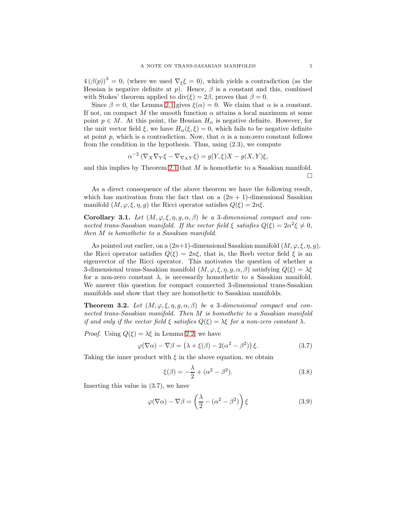$4 (\beta(p))^3 = 0$ , (where we used  $\nabla_{\xi} \xi = 0$ ), which yields a contradiction (as the Hessian is negative definite at p). Hence,  $\beta$  is a constant and this, combined with Stokes' theorem applied to  $div(\xi) = 2\beta$ , proves that  $\beta = 0$ .

Since  $\beta = 0$ , the Lemma [2.1](#page-2-1) gives  $\xi(\alpha) = 0$ . We claim that  $\alpha$  is a constant. If not, on compact M the smooth function  $\alpha$  attains a local maximum at some point  $p \in M$ . At this point, the Hessian  $H_{\alpha}$  is negative definite. However, for the unit vector field  $\xi$ , we have  $H_{\alpha}(\xi, \xi) = 0$ , which fails to be negative definite at point p, which is a contradiction. Now, that  $\alpha$  is a non-zero constant follows from the condition in the hypothesis. Thus, using (2.3), we compute

$$
\alpha^{-2} \left( \nabla_X \nabla_Y \xi - \nabla_{\nabla_X Y} \xi \right) = g(Y, \xi) X - g(X, Y) \xi,
$$

and this implies by Theorem [2.1](#page-3-1) that M is homothetic to a Sasakian manifold.  $\Box$ 

As a direct consequence of the above theorem we have the following result, which has motivation from the fact that on a  $(2n + 1)$ -dimensional Sasakian manifold  $(M, \varphi, \xi, \eta, q)$  the Ricci operator satisfies  $Q(\xi) = 2n\xi$ .

Corollary 3.1. Let  $(M, \varphi, \xi, \eta, g, \alpha, \beta)$  be a 3-dimensional compact and connected trans-Sasakian manifold. If the vector field  $\xi$  satisfies  $Q(\xi) = 2\alpha^2 \xi \neq 0$ , then M is homothetic to a Sasakian manifold.

As pointed out earlier, on a  $(2n+1)$ -dimensional Sasakian manifold  $(M, \varphi, \xi, \eta, g)$ , the Ricci operator satisfies  $Q(\xi) = 2n\xi$ , that is, the Reeb vector field  $\xi$  is an eigenvector of the Ricci operator. This motivates the question of whether a 3-dimensional trans-Sasakian manifold  $(M, \varphi, \xi, \eta, g, \alpha, \beta)$  satisfying  $Q(\xi) = \lambda \xi$ for a non-zero constant  $\lambda$ , is necessarily homothetic to a Sasakian manifold. We answer this question for compact connected 3-dimensional trans-Sasakian manifolds and show that they are homothetic to Sasakian manifolds.

<span id="page-4-0"></span>**Theorem 3.2.** Let  $(M, \varphi, \xi, \eta, g, \alpha, \beta)$  be a 3-dimensional compact and connected trans-Sasakian manifold. Then M is homothetic to a Sasakian manifold if and only if the vector field  $\xi$  satisfies  $Q(\xi) = \lambda \xi$  for a non-zero constant  $\lambda$ .

*Proof.* Using  $Q(\xi) = \lambda \xi$  in Lemma [2.2,](#page-2-0) we have

$$
\varphi(\nabla \alpha) - \nabla \beta = (\lambda + \xi(\beta) - 2(\alpha^2 - \beta^2)) \xi.
$$
 (3.7)

Taking the inner product with  $\xi$  in the above equation, we obtain

$$
\xi(\beta) = -\frac{\lambda}{2} + (\alpha^2 - \beta^2). \tag{3.8}
$$

Inserting this value in (3.7), we have

$$
\varphi(\nabla \alpha) - \nabla \beta = \left(\frac{\lambda}{2} - (\alpha^2 - \beta^2)\right) \xi \tag{3.9}
$$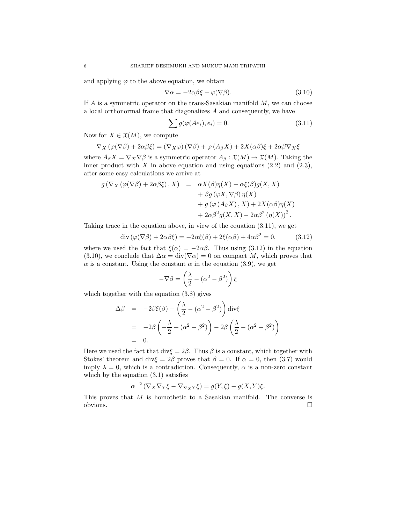and applying  $\varphi$  to the above equation, we obtain

$$
\nabla \alpha = -2\alpha \beta \xi - \varphi(\nabla \beta). \tag{3.10}
$$

If  $A$  is a symmetric operator on the trans-Sasakian manifold  $M$ , we can choose a local orthonormal frame that diagonalizes A and consequently, we have

$$
\sum g(\varphi(Ae_i), e_i) = 0. \tag{3.11}
$$

Now for  $X \in \mathfrak{X}(M)$ , we compute

$$
\nabla_X (\varphi(\nabla \beta) + 2\alpha \beta \xi) = (\nabla_X \varphi) (\nabla \beta) + \varphi (A_{\beta} X) + 2X(\alpha \beta) \xi + 2\alpha \beta \nabla_X \xi
$$

where  $A_{\beta}X = \nabla_X \nabla \beta$  is a symmetric operator  $A_{\beta} : \mathfrak{X}(M) \to \mathfrak{X}(M)$ . Taking the inner product with  $X$  in above equation and using equations  $(2.2)$  and  $(2.3)$ , after some easy calculations we arrive at

$$
g(\nabla_X(\varphi(\nabla \beta) + 2\alpha \beta \xi), X) = \alpha X(\beta) \eta(X) - \alpha \xi(\beta) g(X, X)
$$
  
+  $\beta g(\varphi X, \nabla \beta) \eta(X)$   
+  $g(\varphi(A_\beta X), X) + 2X(\alpha \beta) \eta(X)$   
+  $2\alpha \beta^2 g(X, X) - 2\alpha \beta^2 (\eta(X))^2$ .

Taking trace in the equation above, in view of the equation (3.11), we get

$$
\operatorname{div}\left(\varphi(\nabla\beta) + 2\alpha\beta\xi\right) = -2\alpha\xi(\beta) + 2\xi(\alpha\beta) + 4\alpha\beta^2 = 0,\tag{3.12}
$$

where we used the fact that  $\xi(\alpha) = -2\alpha\beta$ . Thus using (3.12) in the equation (3.10), we conclude that  $\Delta \alpha = \text{div}(\nabla \alpha) = 0$  on compact M, which proves that  $\alpha$  is a constant. Using the constant  $\alpha$  in the equation (3.9), we get

$$
-\nabla \beta = \left(\frac{\lambda}{2} - (\alpha^2 - \beta^2)\right)\xi
$$

which together with the equation (3.8) gives

$$
\Delta \beta = -2\beta \xi(\beta) - \left(\frac{\lambda}{2} - (\alpha^2 - \beta^2)\right) \operatorname{div} \xi
$$
  
= 
$$
-2\beta \left(-\frac{\lambda}{2} + (\alpha^2 - \beta^2)\right) - 2\beta \left(\frac{\lambda}{2} - (\alpha^2 - \beta^2)\right)
$$
  
= 0.

Here we used the fact that div $\xi = 2\beta$ . Thus  $\beta$  is a constant, which together with Stokes' theorem and div $\xi = 2\beta$  proves that  $\beta = 0$ . If  $\alpha = 0$ , then (3.7) would imply  $\lambda = 0$ , which is a contradiction. Consequently,  $\alpha$  is a non-zero constant which by the equation  $(3.1)$  satisfies

$$
\alpha^{-2} \left( \nabla_X \nabla_Y \xi - \nabla_{\nabla_X Y} \xi \right) = g(Y, \xi) - g(X, Y)\xi.
$$

This proves that M is homothetic to a Sasakian manifold. The converse is  $\Box$ obvious.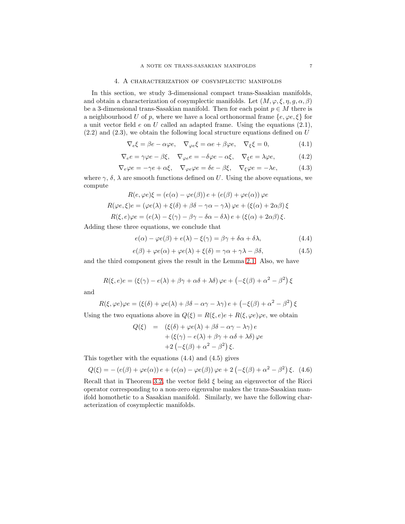## 4. A characterization of cosymplectic manifolds

In this section, we study 3-dimensional compact trans-Sasakian manifolds, and obtain a characterization of cosymplectic manifolds. Let  $(M, \varphi, \xi, \eta, g, \alpha, \beta)$ be a 3-dimensional trans-Sasakian manifold. Then for each point  $p \in M$  there is a neighbourhood U of p, where we have a local orthonormal frame  $\{e, \varphi e, \xi\}$  for a unit vector field  $e$  on  $U$  called an adapted frame. Using the equations  $(2.1)$ ,  $(2.2)$  and  $(2.3)$ , we obtain the following local structure equations defined on U

$$
\nabla_e \xi = \beta e - \alpha \varphi e, \quad \nabla_{\varphi e} \xi = \alpha e + \beta \varphi e, \quad \nabla_{\xi} \xi = 0,
$$
\n(4.1)

$$
\nabla_{e} e = \gamma \varphi e - \beta \xi, \quad \nabla_{\varphi e} e = -\delta \varphi e - \alpha \xi, \quad \nabla_{\xi} e = \lambda \varphi e, \tag{4.2}
$$

$$
\nabla_e \varphi e = -\gamma e + \alpha \xi, \quad \nabla_{\varphi e} \varphi e = \delta e - \beta \xi, \quad \nabla_{\xi} \varphi e = -\lambda e,\tag{4.3}
$$

where  $\gamma$ ,  $\delta$ ,  $\lambda$  are smooth functions defined on U. Using the above equations, we compute

$$
R(e, \varphi e)\xi = (e(\alpha) - \varphi e(\beta))e + (e(\beta) + \varphi e(\alpha))\varphi e
$$
  

$$
R(\varphi e, \xi)e = (\varphi e(\lambda) + \xi(\delta) + \beta \delta - \gamma \alpha - \gamma \lambda)\varphi e + (\xi(\alpha) + 2\alpha \beta)\xi
$$
  

$$
R(\xi, e)\varphi e = (e(\lambda) - \xi(\gamma) - \beta \gamma - \delta \alpha - \delta \lambda)e + (\xi(\alpha) + 2\alpha \beta)\xi.
$$

Adding these three equations, we conclude that

$$
e(\alpha) - \varphi e(\beta) + e(\lambda) - \xi(\gamma) = \beta \gamma + \delta \alpha + \delta \lambda, \tag{4.4}
$$

$$
e(\beta) + \varphi e(\alpha) + \varphi e(\lambda) + \xi(\delta) = \gamma \alpha + \gamma \lambda - \beta \delta, \tag{4.5}
$$

and the third component gives the result in the Lemma [2.1.](#page-2-1) Also, we have

$$
R(\xi, e)e = (\xi(\gamma) - e(\lambda) + \beta\gamma + \alpha\delta + \lambda\delta)\varphi e + (-\xi(\beta) + \alpha^2 - \beta^2)\xi
$$

and

$$
R(\xi, \varphi e)\varphi e = (\xi(\delta) + \varphi e(\lambda) + \beta \delta - \alpha \gamma - \lambda \gamma) e + (-\xi(\beta) + \alpha^2 - \beta^2) \xi
$$

Using the two equations above in  $Q(\xi) = R(\xi, e)e + R(\xi, \varphi e)\varphi e$ , we obtain

$$
Q(\xi) = (\xi(\delta) + \varphi e(\lambda) + \beta \delta - \alpha \gamma - \lambda \gamma) e + (\xi(\gamma) - e(\lambda) + \beta \gamma + \alpha \delta + \lambda \delta) \varphi e + 2 (-\xi(\beta) + \alpha^2 - \beta^2) \xi.
$$

This together with the equations (4.4) and (4.5) gives

$$
Q(\xi) = - (e(\beta) + \varphi e(\alpha)) e + (e(\alpha) - \varphi e(\beta)) \varphi e + 2 (-\xi(\beta) + \alpha^2 - \beta^2) \xi.
$$
 (4.6)

Recall that in Theorem [3.2,](#page-4-0) the vector field  $\xi$  being an eigenvector of the Ricci operator corresponding to a non-zero eigenvalue makes the trans-Sasakian manifold homothetic to a Sasakian manifold. Similarly, we have the following characterization of cosymplectic manifolds.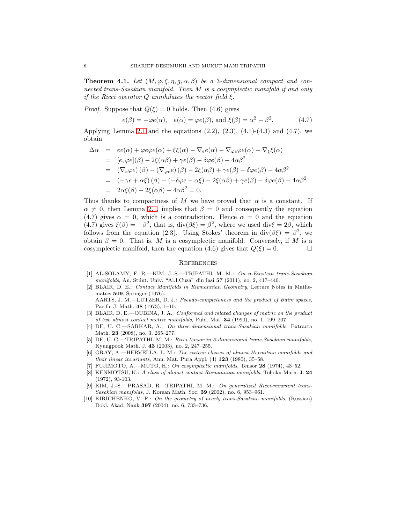<span id="page-7-9"></span>**Theorem 4.1.** Let  $(M, \varphi, \xi, \eta, g, \alpha, \beta)$  be a 3-dimensional compact and connected trans-Sasakian manifold. Then M is a cosymplectic manifold if and only if the Ricci operator  $Q$  annihilates the vector field  $\xi$ .

*Proof.* Suppose that  $Q(\xi) = 0$  holds. Then (4.6) gives

$$
e(\beta) = -\varphi e(\alpha), \quad e(\alpha) = \varphi e(\beta), \text{ and } \xi(\beta) = \alpha^2 - \beta^2.
$$
 (4.7)

Applying Lemma [2.1](#page-2-1) and the equations  $(2.2)$ ,  $(2.3)$ ,  $(4.1)-(4.3)$  and  $(4.7)$ , we obtain

$$
\begin{array}{rcl}\n\Delta \alpha & = & ee(\alpha) + \varphi e \varphi e(\alpha) + \xi \xi(\alpha) - \nabla_e e(\alpha) - \nabla_\varphi e \varphi e(\alpha) - \nabla_\xi \xi(\alpha) \\
& = & [e, \varphi e](\beta) - 2\xi(\alpha \beta) + \gamma e(\beta) - \delta \varphi e(\beta) - 4\alpha \beta^2 \\
& = & (\nabla_e \varphi e)(\beta) - (\nabla_\varphi e)(\beta) - 2\xi(\alpha \beta) + \gamma e(\beta) - \delta \varphi e(\beta) - 4\alpha \beta^2 \\
& = & (-\gamma e + \alpha \xi)(\beta) - (-\delta \varphi e - \alpha \xi) - 2\xi(\alpha \beta) + \gamma e(\beta) - \delta \varphi e(\beta) - 4\alpha \beta^2 \\
& = & 2\alpha \xi(\beta) - 2\xi(\alpha \beta) - 4\alpha \beta^2 = 0.\n\end{array}
$$

Thus thanks to compactness of M we have proved that  $\alpha$  is a constant. If  $\alpha \neq 0$ , then Lemma [2.1,](#page-2-1) implies that  $\beta = 0$  and consequently the equation (4.7) gives  $\alpha = 0$ , which is a contradiction. Hence  $\alpha = 0$  and the equation (4.7) gives  $\xi(\beta) = -\beta^2$ , that is,  $\text{div}(\beta \xi) = \beta^2$ , where we used  $\text{div}\xi = 2\beta$ , which follows from the equation (2.3). Using Stokes' theorem in div( $\beta \xi$ ) =  $\beta^2$ , we obtain  $\beta = 0$ . That is, M is a cosymplectic manifold. Conversely, if M is a cosymplectic manifold, then the equation (4.6) gives that  $Q(\xi) = 0$ .

#### **REFERENCES**

- <span id="page-7-4"></span>[1] AL-SOLAMY, F. R.—KIM, J.-S.—TRIPATHI, M. M.: On η-Einstein trans-Sasakian manifolds, An. Stiint. Univ. "Al.I.Cuza" din Iasi 57 (2011), no. 2, 417–440.
- <span id="page-7-0"></span>[2] BLAIR, D. E.: Contact Manifolds in Riemannian Geometry, Lecture Notes in Mathematics 509, Springer (1976). AARTS, J. M.—LUTZER, D. J.: Pseudo-completeness and the product of Baire spaces, Pacific J. Math. 48 (1973), 1–10.
- <span id="page-7-1"></span>[3] BLAIR, D. E.—OUBINA, J. A.: Conformal and related changes of metric on the product of two almost contact metric manifolds, Publ. Mat. 34 (1990), no. 1, 199–207.
- <span id="page-7-5"></span>[4] DE, U. C.—SARKAR, A.: On three-dimensional trans-Sasakian manifolds, Extracta Math. **23** (2008), no. 3, 265–277.
- <span id="page-7-6"></span>[5] DE, U. C.—TRIPATHI, M. M.: Ricci tensor in 3-dimensional trans-Sasakian manifolds, Kyungpook Math. J. 43 (2003), no. 2, 247–255.
- <span id="page-7-3"></span>[6] GRAY, A.—HERVELLA, L. M.: The sixteen classes of almost Hermitian manifolds and their linear invariants, Ann. Mat. Pura Appl.  $(4)$  123  $(1980)$ , 35-58.
- <span id="page-7-10"></span><span id="page-7-2"></span>[7] FUJIMOTO, A.—MUTO, H.: On cosymplectic manifolds, Tensor 28 (1974), 43–52.
- [8] KENMOTSU, K.: A class of almost contact Riemannian manifolds, Tohoku Math. J. 24 (1972), 93-103.
- <span id="page-7-7"></span>[9] KIM, J.-S.—PRASAD, R—TRIPATHI, M. M.: On generalized Ricci-recurrent trans-Sasakian manifolds, J. Korean Math. Soc. 39 (2002), no. 6, 953–961.
- <span id="page-7-8"></span>[10] KIRICHENKO, V. F.: On the geometry of nearly trans-Sasakian manifolds, (Russian) Dokl. Akad. Nauk 397 (2004), no. 6, 733–736.